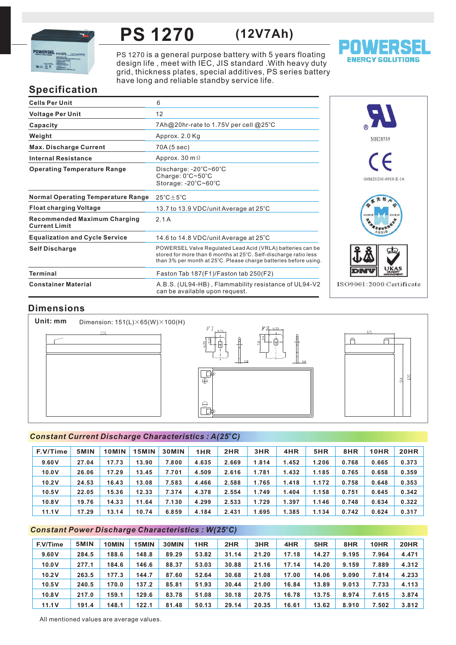

### **PS 1270 (12V7Ah)**

PS 1270 is a general purpose battery with 5 years floating design life, meet with IEC, JIS standard . With heavy duty grid, thickness plates, special additives, PS series battery have long and reliable standby service life.



# **Specification**

| <b>Cells Per Unit</b>                                       | 6                                                                                                                                                                                                  |
|-------------------------------------------------------------|----------------------------------------------------------------------------------------------------------------------------------------------------------------------------------------------------|
| <b>Voltage Per Unit</b>                                     | 12                                                                                                                                                                                                 |
| Capacity                                                    | 7Ah@20hr-rate to 1.75V per cell @25°C                                                                                                                                                              |
| Weight                                                      | Approx. 2.0 Kg                                                                                                                                                                                     |
| <b>Max. Discharge Current</b>                               | 70A (5 sec)                                                                                                                                                                                        |
| <b>Internal Resistance</b>                                  | Approx. 30 m $\Omega$                                                                                                                                                                              |
| <b>Operating Temperature Range</b>                          | Discharge: $-20^{\circ}$ C $\sim$ 60 $^{\circ}$ C<br>Charge: 0°C~50°C<br>Storage: -20°C~60°C                                                                                                       |
| <b>Normal Operating Temperature Range</b>                   | $25^{\circ}$ C $\pm$ 5 $^{\circ}$ C                                                                                                                                                                |
| <b>Float charging Voltage</b>                               | 13.7 to 13.9 VDC/unit Average at 25°C                                                                                                                                                              |
| <b>Recommended Maximum Charging</b><br><b>Current Limit</b> | 2.1A                                                                                                                                                                                               |
| <b>Equalization and Cycle Service</b>                       | 14.6 to 14.8 VDC/unit Average at $25^{\circ}$ C                                                                                                                                                    |
| <b>Self Discharge</b>                                       | POWERSEL Valve Regulated Lead Acid (VRLA) batteries can be<br>stored for more than 6 months at 25°C. Self-discharge ratio less<br>than 3% per month at 25°C. Please charge batteries before using. |
| Terminal                                                    | Faston Tab 187(F1)/Faston tab 250(F2)                                                                                                                                                              |
| <b>Constainer Material</b>                                  | A.B.S. (UL94-HB), Flammability resistance of UL94-V2<br>can be available upon request.                                                                                                             |



## **Dimensions**

**Unit: mm** Dimension: 151(L)×65(W)×100(H)  $151$ 





#### *<sup>o</sup> Constant Current Discharge Characteristics : A(25 C)*

| F.V/Time | 5MIN  | 10MIN | 15MIN | <b>30MIN</b> | 1HR   | 2HR   | 3HR   | 4HR   | 5HR   | 8HR   | 10HR  | 20HR  |
|----------|-------|-------|-------|--------------|-------|-------|-------|-------|-------|-------|-------|-------|
| 9.60V    | 27.04 | 17.73 | 13.90 | 7.800        | 4.635 | 2.669 | 1.814 | 1.452 | 1.206 | 0.768 | 0.665 | 0.373 |
| 10.0V    | 26.06 | 17.29 | 13.45 | 7.701        | 4.509 | 2.616 | 1.781 | 1.432 | 1.185 | 0.765 | 0.658 | 0.359 |
| 10.2V    | 24.53 | 16.43 | 13.08 | 7.583        | 4.466 | 2.588 | 1.765 | 1.418 | 1.172 | 0.758 | 0.648 | 0.353 |
| 10.5V    | 22.05 | 15.36 | 12.33 | 7.374        | 4.378 | 2.554 | 1.749 | 1.404 | 1.158 | 0.751 | 0.645 | 0.342 |
| 10.8V    | 19.76 | 14.33 | 11.64 | 7.130        | 4.299 | 2.533 | 1.729 | 1.397 | 1.146 | 0.748 | 0.634 | 0.322 |
| 11.1V    | 17.29 | 13.14 | 10.74 | 6.859        | 4.184 | 2.431 | 1.695 | 1.385 | 1.134 | 0.742 | 0.624 | 0.317 |

#### *<sup>o</sup> Constant Power Discharge Characteristics : W(25 C)*

| F.V/Time | 5MIN  | 10MIN | 15MIN | 30MIN | 1HR   | 2HR   | 3HR   | 4HR   | 5HR   | 8HR   | 10HR  | 20HR  |
|----------|-------|-------|-------|-------|-------|-------|-------|-------|-------|-------|-------|-------|
| 9.60V    | 284.5 | 188.6 | 148.8 | 89.29 | 53.82 | 31.14 | 21.20 | 17.18 | 14.27 | 9.195 | 7.964 | 4.471 |
| 10.0V    | 277.1 | 184.6 | 146.6 | 88.37 | 53.03 | 30.88 | 21.16 | 17.14 | 14.20 | 9.159 | 7.889 | 4.312 |
| 10.2V    | 263.5 | 177.3 | 144.7 | 87.60 | 52.64 | 30.68 | 21.08 | 17.00 | 14.06 | 9.090 | 7.814 | 4.233 |
| 10.5V    | 240.5 | 170.0 | 137.2 | 85.81 | 51.93 | 30.44 | 21.00 | 16.84 | 13.89 | 9.013 | 7.733 | 4.113 |
| 10.8V    | 217.0 | 159.1 | 129.6 | 83.78 | 51.08 | 30.18 | 20.75 | 16.78 | 13.75 | 8.974 | 7.615 | 3.874 |
| 11.1V    | 191.4 | 148.1 | 122.1 | 81.48 | 50.13 | 29.14 | 20.35 | 16.61 | 13.62 | 8.910 | 7.502 | 3.812 |

All mentioned values are average values.